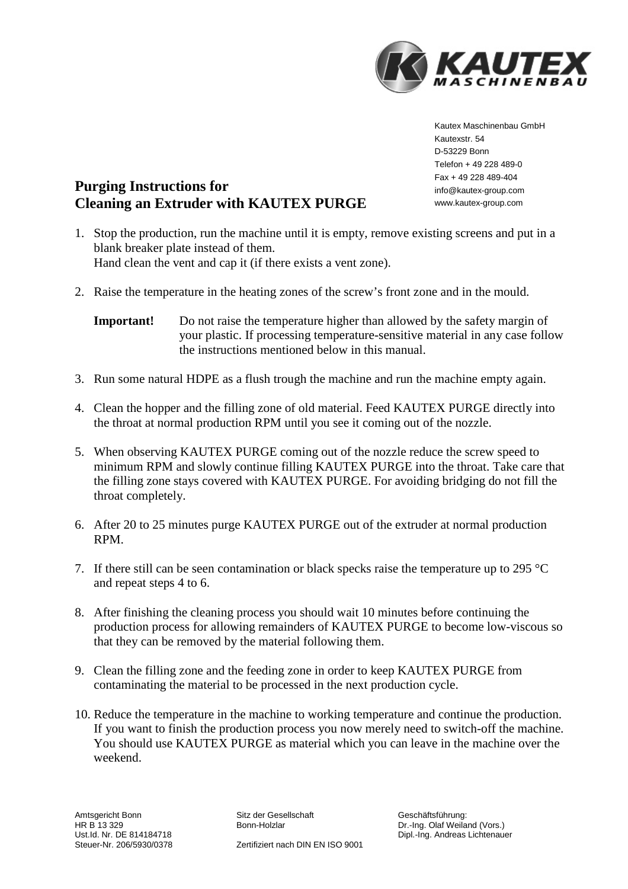

Kautex Maschinenbau GmbH Kautexstr. 54 D-53229 Bonn Telefon + 49 228 489-0 Fax + 49 228 489-404 info@kautex-group.com www.kautex-group.com

# **Purging Instructions for Cleaning an Extruder with KAUTEX PURGE**

- 1. Stop the production, run the machine until it is empty, remove existing screens and put in a blank breaker plate instead of them. Hand clean the vent and cap it (if there exists a vent zone).
- 2. Raise the temperature in the heating zones of the screw's front zone and in the mould.

- 3. Run some natural HDPE as a flush trough the machine and run the machine empty again.
- 4. Clean the hopper and the filling zone of old material. Feed KAUTEX PURGE directly into the throat at normal production RPM until you see it coming out of the nozzle.
- 5. When observing KAUTEX PURGE coming out of the nozzle reduce the screw speed to minimum RPM and slowly continue filling KAUTEX PURGE into the throat. Take care that the filling zone stays covered with KAUTEX PURGE. For avoiding bridging do not fill the throat completely.
- 6. After 20 to 25 minutes purge KAUTEX PURGE out of the extruder at normal production RPM.
- 7. If there still can be seen contamination or black specks raise the temperature up to 295 °C and repeat steps 4 to 6.
- 8. After finishing the cleaning process you should wait 10 minutes before continuing the production process for allowing remainders of KAUTEX PURGE to become low-viscous so that they can be removed by the material following them.
- 9. Clean the filling zone and the feeding zone in order to keep KAUTEX PURGE from contaminating the material to be processed in the next production cycle.
- 10. Reduce the temperature in the machine to working temperature and continue the production. If you want to finish the production process you now merely need to switch-off the machine. You should use KAUTEX PURGE as material which you can leave in the machine over the weekend.

**Important!** Do not raise the temperature higher than allowed by the safety margin of your plastic. If processing temperature-sensitive material in any case follow the instructions mentioned below in this manual.